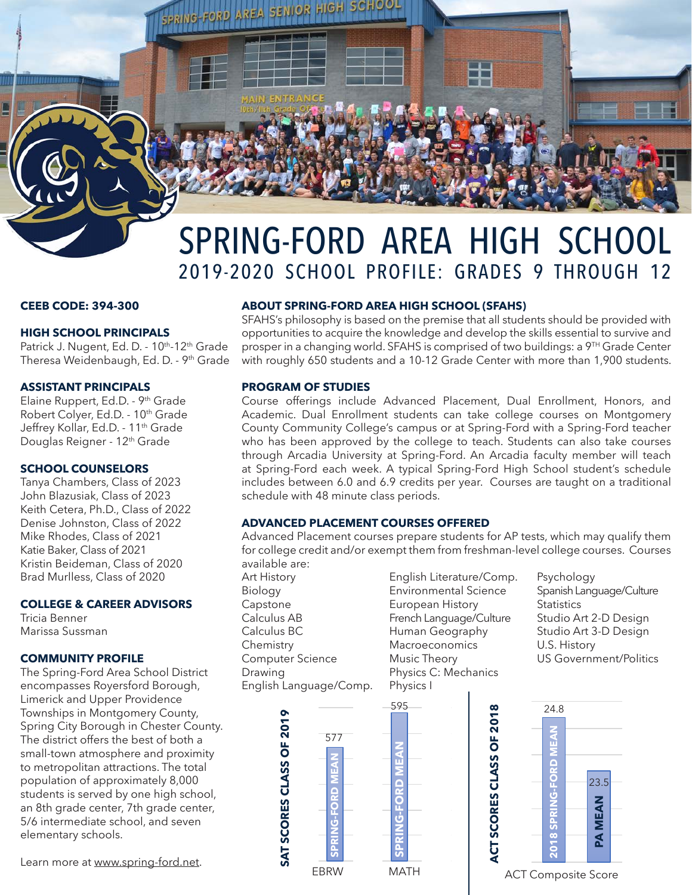

# SPRING-FORD AREA HIGH SCHOOL 2019-2020 SCHOOL PROFILE: GRADES 9 THROUGH 12

# **CEEB CODE: 394-300**

## **HIGH SCHOOL PRINCIPALS**

Patrick J. Nugent, Ed. D. - 10<sup>th</sup>-12<sup>th</sup> Grade Theresa Weidenbaugh, Ed. D. - 9<sup>th</sup> Grade

## **ASSISTANT PRINCIPALS**

Elaine Ruppert, Ed.D. - 9<sup>th</sup> Grade Robert Colyer, Ed.D. - 10<sup>th</sup> Grade Jeffrey Kollar, Ed.D. - 11<sup>th</sup> Grade Douglas Reigner - 12<sup>th</sup> Grade

# **SCHOOL COUNSELORS**

Tanya Chambers, Class of 2023 John Blazusiak, Class of 2023 Keith Cetera, Ph.D., Class of 2022 Denise Johnston, Class of 2022 Mike Rhodes, Class of 2021 Katie Baker, Class of 2021 Kristin Beideman, Class of 2020 Brad Murlless, Class of 2020

# **COLLEGE & CAREER ADVISORS**

Tricia Benner Marissa Sussman

# **COMMUNITY PROFILE**

The Spring-Ford Area School District encompasses Royersford Borough, Limerick and Upper Providence Townships in Montgomery County, Spring City Borough in Chester County. The district offers the best of both a small-town atmosphere and proximity to metropolitan attractions. The total population of approximately 8,000 students is served by one high school, an 8th grade center, 7th grade center, 5/6 intermediate school, and seven elementary schools.

Learn more at www.spring-ford.net.

# **ABOUT SPRING-FORD AREA HIGH SCHOOL (SFAHS)**

SFAHS's philosophy is based on the premise that all students should be provided with opportunities to acquire the knowledge and develop the skills essential to survive and prosper in a changing world. SFAHS is comprised of two buildings: a 9TH Grade Center with roughly 650 students and a 10-12 Grade Center with more than 1,900 students.

## **PROGRAM OF STUDIES**

Course offerings include Advanced Placement, Dual Enrollment, Honors, and Academic. Dual Enrollment students can take college courses on Montgomery County Community College's campus or at Spring-Ford with a Spring-Ford teacher who has been approved by the college to teach. Students can also take courses through Arcadia University at Spring-Ford. An Arcadia faculty member will teach at Spring-Ford each week. A typical Spring-Ford High School student's schedule includes between 6.0 and 6.9 credits per year. Courses are taught on a traditional schedule with 48 minute class periods.

## **ADVANCED PLACEMENT COURSES OFFERED**

Advanced Placement courses prepare students for AP tests, which may qualify them for college credit and/or exempt them from freshman-level college courses. Courses available are:

Art History Biology Capstone Calculus AB Calculus BC **Chemistry** Computer Science Drawing English Language/Comp.

**SAT SCORES CLASS OF 2019**

SAT SCORES CLASS OF 2019

**SPRING-FORD MEAN**

ō

577

**SPRING-FORD MEAN**

C

595

English Literature/Comp. Environmental Science European History French Language/Culture Human Geography Macroeconomics Music Theory Physics C: Mechanics Physics I

Psychology Spanish Language/Culture **Statistics** Studio Art 2-D Design Studio Art 3-D Design U.S. History US Government/Politics